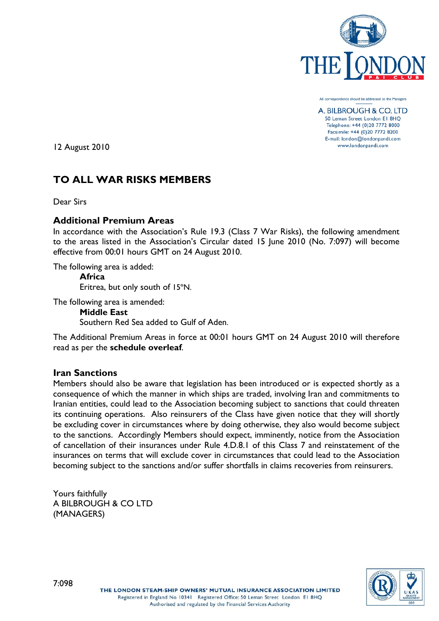

All correspondence should be addressed to the Managers

A. BILBROUGH & CO. LTD 50 Leman Street London El 8HQ Telephone: +44 (0)20 7772 8000 Facsimile: +44 (0)20 7772 8200 E-mail: london@londonpandi.com www.londonpandi.com

12 August 2010

# **TO ALL WAR RISKS MEMBERS**

Dear Sirs

### **Additional Premium Areas**

In accordance with the Association's Rule 19.3 (Class 7 War Risks), the following amendment to the areas listed in the Association's Circular dated 15 June 2010 (No. 7:097) will become effective from 00:01 hours GMT on 24 August 2010.

The following area is added:

**Africa** Eritrea, but only south of 15ºN.

The following area is amended:

**Middle East** Southern Red Sea added to Gulf of Aden.

The Additional Premium Areas in force at 00:01 hours GMT on 24 August 2010 will therefore read as per the **schedule overleaf**.

#### **Iran Sanctions**

Members should also be aware that legislation has been introduced or is expected shortly as a consequence of which the manner in which ships are traded, involving Iran and commitments to Iranian entities, could lead to the Association becoming subject to sanctions that could threaten its continuing operations. Also reinsurers of the Class have given notice that they will shortly be excluding cover in circumstances where by doing otherwise, they also would become subject to the sanctions. Accordingly Members should expect, imminently, notice from the Association of cancellation of their insurances under Rule 4.D.8.1 of this Class 7 and reinstatement of the insurances on terms that will exclude cover in circumstances that could lead to the Association becoming subject to the sanctions and/or suffer shortfalls in claims recoveries from reinsurers.

Yours faithfully A BILBROUGH & CO LTD (MANAGERS)